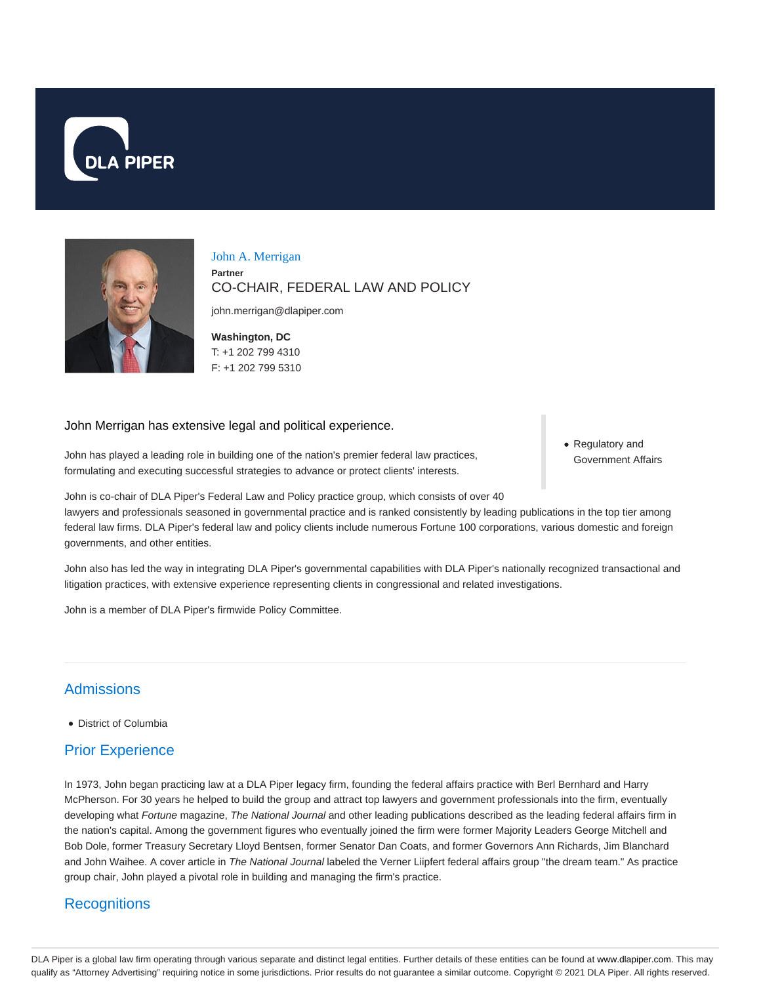



John A. Merrigan **Partner** CO-CHAIR, FEDERAL LAW AND POLICY

john.merrigan@dlapiper.com

**Washington, DC** T: +1 202 799 4310 F: +1 202 799 5310

#### John Merrigan has extensive legal and political experience.

John has played a leading role in building one of the nation's premier federal law practices, formulating and executing successful strategies to advance or protect clients' interests.

Regulatory and Government Affairs

John is co-chair of DLA Piper's Federal Law and Policy practice group, which consists of over 40

lawyers and professionals seasoned in governmental practice and is ranked consistently by leading publications in the top tier among federal law firms. DLA Piper's federal law and policy clients include numerous Fortune 100 corporations, various domestic and foreign governments, and other entities.

John also has led the way in integrating DLA Piper's governmental capabilities with DLA Piper's nationally recognized transactional and litigation practices, with extensive experience representing clients in congressional and related investigations.

John is a member of DLA Piper's firmwide Policy Committee.

## Admissions

District of Columbia

# Prior Experience

In 1973, John began practicing law at a DLA Piper legacy firm, founding the federal affairs practice with Berl Bernhard and Harry McPherson. For 30 years he helped to build the group and attract top lawyers and government professionals into the firm, eventually developing what Fortune magazine, The National Journal and other leading publications described as the leading federal affairs firm in the nation's capital. Among the government figures who eventually joined the firm were former Majority Leaders George Mitchell and Bob Dole, former Treasury Secretary Lloyd Bentsen, former Senator Dan Coats, and former Governors Ann Richards, Jim Blanchard and John Waihee. A cover article in The National Journal labeled the Verner Liipfert federal affairs group "the dream team." As practice group chair, John played a pivotal role in building and managing the firm's practice.

#### **Recognitions**

DLA Piper is a global law firm operating through various separate and distinct legal entities. Further details of these entities can be found at www.dlapiper.com. This may qualify as "Attorney Advertising" requiring notice in some jurisdictions. Prior results do not guarantee a similar outcome. Copyright @ 2021 DLA Piper. All rights reserved.